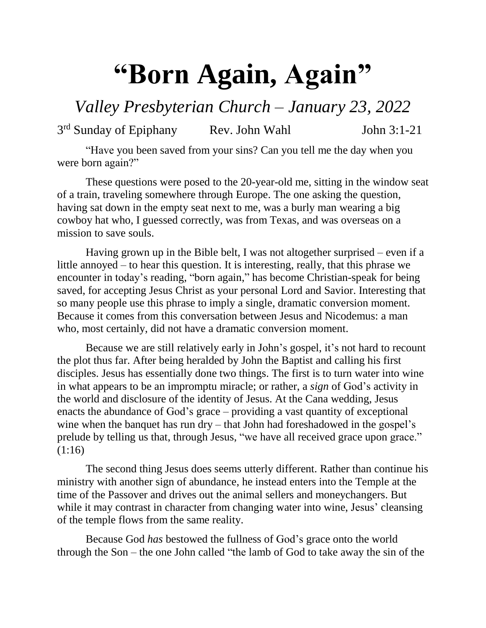## **"Born Again, Again"**

*Valley Presbyterian Church – January 23, 2022*

3<sup>rd</sup> Sunday of Epiphany Rev. John Wahl John 3:1-21

"Have you been saved from your sins? Can you tell me the day when you were born again?"

These questions were posed to the 20-year-old me, sitting in the window seat of a train, traveling somewhere through Europe. The one asking the question, having sat down in the empty seat next to me, was a burly man wearing a big cowboy hat who, I guessed correctly, was from Texas, and was overseas on a mission to save souls.

Having grown up in the Bible belt, I was not altogether surprised – even if a little annoyed – to hear this question. It is interesting, really, that this phrase we encounter in today's reading, "born again," has become Christian-speak for being saved, for accepting Jesus Christ as your personal Lord and Savior. Interesting that so many people use this phrase to imply a single, dramatic conversion moment. Because it comes from this conversation between Jesus and Nicodemus: a man who, most certainly, did not have a dramatic conversion moment.

Because we are still relatively early in John's gospel, it's not hard to recount the plot thus far. After being heralded by John the Baptist and calling his first disciples. Jesus has essentially done two things. The first is to turn water into wine in what appears to be an impromptu miracle; or rather, a *sign* of God's activity in the world and disclosure of the identity of Jesus. At the Cana wedding, Jesus enacts the abundance of God's grace – providing a vast quantity of exceptional wine when the banquet has run dry – that John had foreshadowed in the gospel's prelude by telling us that, through Jesus, "we have all received grace upon grace." (1:16)

The second thing Jesus does seems utterly different. Rather than continue his ministry with another sign of abundance, he instead enters into the Temple at the time of the Passover and drives out the animal sellers and moneychangers. But while it may contrast in character from changing water into wine, Jesus' cleansing of the temple flows from the same reality.

Because God *has* bestowed the fullness of God's grace onto the world through the Son – the one John called "the lamb of God to take away the sin of the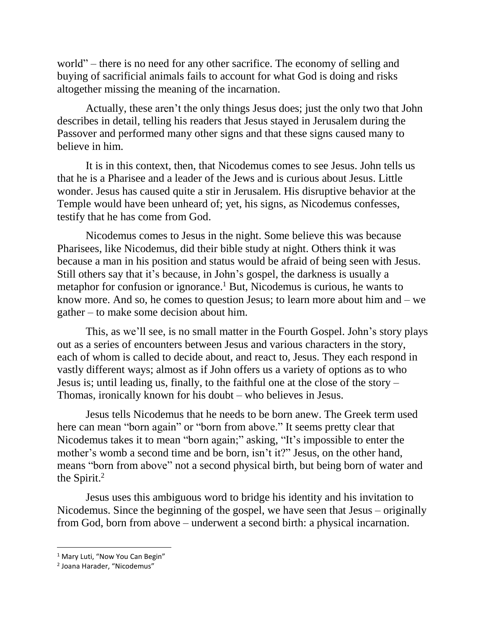world" – there is no need for any other sacrifice. The economy of selling and buying of sacrificial animals fails to account for what God is doing and risks altogether missing the meaning of the incarnation.

Actually, these aren't the only things Jesus does; just the only two that John describes in detail, telling his readers that Jesus stayed in Jerusalem during the Passover and performed many other signs and that these signs caused many to believe in him.

It is in this context, then, that Nicodemus comes to see Jesus. John tells us that he is a Pharisee and a leader of the Jews and is curious about Jesus. Little wonder. Jesus has caused quite a stir in Jerusalem. His disruptive behavior at the Temple would have been unheard of; yet, his signs, as Nicodemus confesses, testify that he has come from God.

Nicodemus comes to Jesus in the night. Some believe this was because Pharisees, like Nicodemus, did their bible study at night. Others think it was because a man in his position and status would be afraid of being seen with Jesus. Still others say that it's because, in John's gospel, the darkness is usually a metaphor for confusion or ignorance.<sup>1</sup> But, Nicodemus is curious, he wants to know more. And so, he comes to question Jesus; to learn more about him and – we gather – to make some decision about him.

This, as we'll see, is no small matter in the Fourth Gospel. John's story plays out as a series of encounters between Jesus and various characters in the story, each of whom is called to decide about, and react to, Jesus. They each respond in vastly different ways; almost as if John offers us a variety of options as to who Jesus is; until leading us, finally, to the faithful one at the close of the story – Thomas, ironically known for his doubt – who believes in Jesus.

Jesus tells Nicodemus that he needs to be born anew. The Greek term used here can mean "born again" or "born from above." It seems pretty clear that Nicodemus takes it to mean "born again;" asking, "It's impossible to enter the mother's womb a second time and be born, isn't it?" Jesus, on the other hand, means "born from above" not a second physical birth, but being born of water and the Spirit.<sup>2</sup>

Jesus uses this ambiguous word to bridge his identity and his invitation to Nicodemus. Since the beginning of the gospel, we have seen that Jesus – originally from God, born from above – underwent a second birth: a physical incarnation.

l

<sup>&</sup>lt;sup>1</sup> Mary Luti, "Now You Can Begin"

<sup>&</sup>lt;sup>2</sup> Joana Harader, "Nicodemus"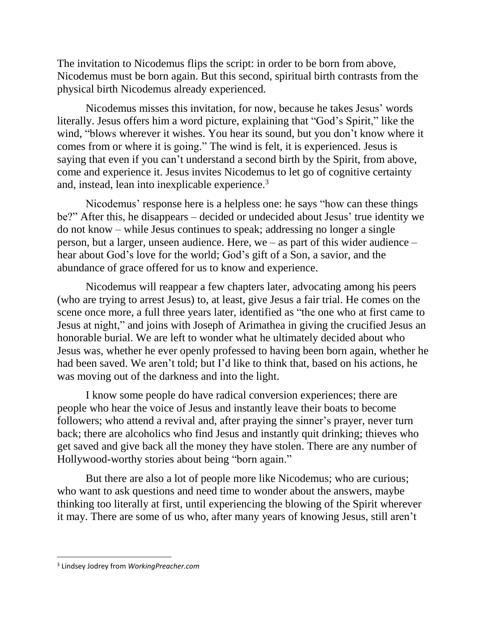The invitation to Nicodemus flips the script: in order to be born from above, Nicodemus must be born again. But this second, spiritual birth contrasts from the physical birth Nicodemus already experienced.

Nicodemus misses this invitation, for now, because he takes Jesus' words literally. Jesus offers him a word picture, explaining that "God's Spirit," like the wind, "blows wherever it wishes. You hear its sound, but you don't know where it comes from or where it is going." The wind is felt, it is experienced. Jesus is saying that even if you can't understand a second birth by the Spirit, from above, come and experience it. Jesus invites Nicodemus to let go of cognitive certainty and, instead, lean into inexplicable experience.<sup>3</sup>

Nicodemus' response here is a helpless one: he says "how can these things be?" After this, he disappears – decided or undecided about Jesus' true identity we do not know – while Jesus continues to speak; addressing no longer a single person, but a larger, unseen audience. Here, we – as part of this wider audience – hear about God's love for the world; God's gift of a Son, a savior, and the abundance of grace offered for us to know and experience.

Nicodemus will reappear a few chapters later, advocating among his peers (who are trying to arrest Jesus) to, at least, give Jesus a fair trial. He comes on the scene once more, a full three years later, identified as "the one who at first came to Jesus at night," and joins with Joseph of Arimathea in giving the crucified Jesus an honorable burial. We are left to wonder what he ultimately decided about who Jesus was, whether he ever openly professed to having been born again, whether he had been saved. We aren't told; but I'd like to think that, based on his actions, he was moving out of the darkness and into the light.

I know some people do have radical conversion experiences; there are people who hear the voice of Jesus and instantly leave their boats to become followers; who attend a revival and, after praying the sinner's prayer, never turn back; there are alcoholics who find Jesus and instantly quit drinking; thieves who get saved and give back all the money they have stolen. There are any number of Hollywood-worthy stories about being "born again."

But there are also a lot of people more like Nicodemus; who are curious; who want to ask questions and need time to wonder about the answers, maybe thinking too literally at first, until experiencing the blowing of the Spirit wherever it may. There are some of us who, after many years of knowing Jesus, still aren't

 $\overline{\phantom{a}}$ 

<sup>3</sup> Lindsey Jodrey from *WorkingPreacher.com*